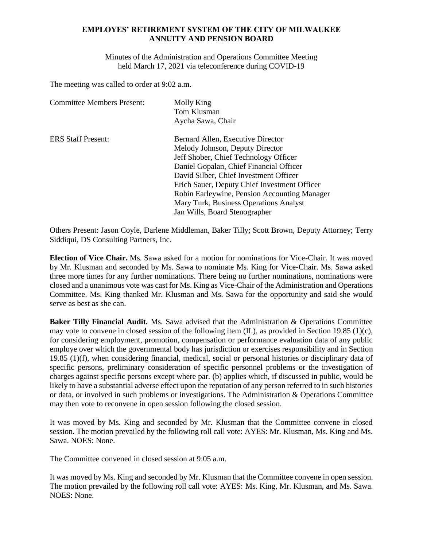## **EMPLOYES' RETIREMENT SYSTEM OF THE CITY OF MILWAUKEE ANNUITY AND PENSION BOARD**

Minutes of the Administration and Operations Committee Meeting held March 17, 2021 via teleconference during COVID-19

The meeting was called to order at 9:02 a.m.

| <b>Committee Members Present:</b> | Molly King<br>Tom Klusman                    |
|-----------------------------------|----------------------------------------------|
|                                   | Aycha Sawa, Chair                            |
| <b>ERS Staff Present:</b>         | Bernard Allen, Executive Director            |
|                                   | Melody Johnson, Deputy Director              |
|                                   | Jeff Shober, Chief Technology Officer        |
|                                   | Daniel Gopalan, Chief Financial Officer      |
|                                   | David Silber, Chief Investment Officer       |
|                                   | Erich Sauer, Deputy Chief Investment Officer |
|                                   | Robin Earleywine, Pension Accounting Manager |
|                                   | Mary Turk, Business Operations Analyst       |
|                                   | Jan Wills, Board Stenographer                |

Others Present: Jason Coyle, Darlene Middleman, Baker Tilly; Scott Brown, Deputy Attorney; Terry Siddiqui, DS Consulting Partners, Inc.

**Election of Vice Chair.** Ms. Sawa asked for a motion for nominations for Vice-Chair. It was moved by Mr. Klusman and seconded by Ms. Sawa to nominate Ms. King for Vice-Chair. Ms. Sawa asked three more times for any further nominations. There being no further nominations, nominations were closed and a unanimous vote was cast for Ms. King as Vice-Chair of the Administration and Operations Committee. Ms. King thanked Mr. Klusman and Ms. Sawa for the opportunity and said she would serve as best as she can.

**Baker Tilly Financial Audit.** Ms. Sawa advised that the Administration & Operations Committee may vote to convene in closed session of the following item (II.), as provided in Section 19.85 (1)(c), for considering employment, promotion, compensation or performance evaluation data of any public employe over which the governmental body has jurisdiction or exercises responsibility and in Section 19.85 (1)(f), when considering financial, medical, social or personal histories or disciplinary data of specific persons, preliminary consideration of specific personnel problems or the investigation of charges against specific persons except where par. (b) applies which, if discussed in public, would be likely to have a substantial adverse effect upon the reputation of any person referred to in such histories or data, or involved in such problems or investigations. The Administration & Operations Committee may then vote to reconvene in open session following the closed session.

It was moved by Ms. King and seconded by Mr. Klusman that the Committee convene in closed session. The motion prevailed by the following roll call vote: AYES: Mr. Klusman, Ms. King and Ms. Sawa. NOES: None.

The Committee convened in closed session at 9:05 a.m.

It was moved by Ms. King and seconded by Mr. Klusman that the Committee convene in open session. The motion prevailed by the following roll call vote: AYES: Ms. King, Mr. Klusman, and Ms. Sawa. NOES: None.